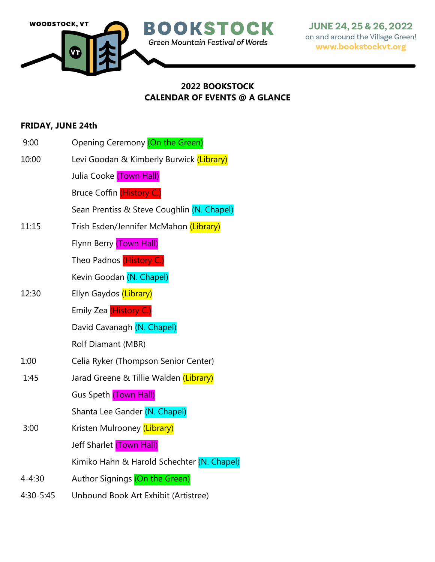

## **2022 BOOKSTOCK CALENDAR OF EVENTS @ A GLANCE**

## **FRIDAY, JUNE 24th**

- 9:00 Opening Ceremony (On the Green)
- 10:00 Levi Goodan & Kimberly Burwick (Library)

Julia Cooke (Town Hall)

Bruce Coffin (History C.)

Sean Prentiss & Steve Coughlin (N. Chapel)

- 11:15 Trish Esden/Jennifer McMahon (Library)
	- Flynn Berry (Town Hall)
		- Theo Padnos (History C.)
	- Kevin Goodan (N. Chapel)
- 12:30 Ellyn Gaydos (Library)

Emily Zea (History C.)

David Cavanagh (N. Chapel)

Rolf Diamant (MBR)

- 1:00 Celia Ryker (Thompson Senior Center)
- 1:45 Jarad Greene & Tillie Walden (Library)

Gus Speth (Town Hall)

Shanta Lee Gander (N. Chapel)

3:00 Kristen Mulrooney (Library)

Jeff Sharlet (Town Hall)

Kimiko Hahn & Harold Schechter (N. Chapel)

- 4-4:30 Author Signings (On the Green)
- 4:30-5:45 Unbound Book Art Exhibit (Artistree)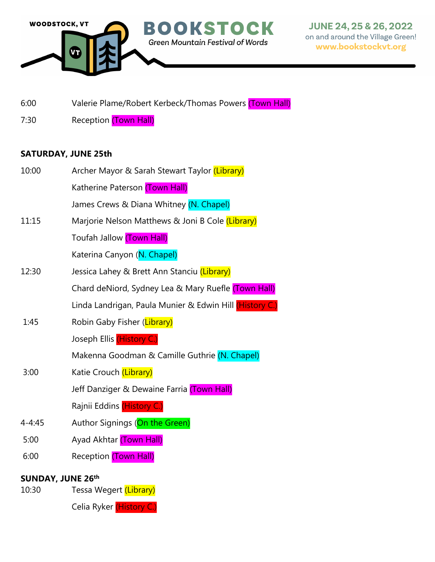

- 6:00 Valerie Plame/Robert Kerbeck/Thomas Powers (Town Hall)
- 7:30 Reception (Town Hall)

# **SATURDAY, JUNE 25th**

| 10:00                    | Archer Mayor & Sarah Stewart Taylor (Library)           |
|--------------------------|---------------------------------------------------------|
|                          | Katherine Paterson (Town Hall)                          |
|                          | James Crews & Diana Whitney (N. Chapel)                 |
| 11:15                    | Marjorie Nelson Matthews & Joni B Cole (Library)        |
|                          | Toufah Jallow (Town Hall)                               |
|                          | Katerina Canyon (N. Chapel)                             |
| 12:30                    | Jessica Lahey & Brett Ann Stanciu (Library)             |
|                          | Chard deNiord, Sydney Lea & Mary Ruefle (Town Hall)     |
|                          | Linda Landrigan, Paula Munier & Edwin Hill (History C.) |
| 1:45                     | Robin Gaby Fisher (Library)                             |
|                          | Joseph Ellis (History C.)                               |
|                          | Makenna Goodman & Camille Guthrie (N. Chapel)           |
| 3:00                     | Katie Crouch (Library)                                  |
|                          | Jeff Danziger & Dewaine Farria (Town Hall)              |
|                          | Rajnii Eddins (History C.)                              |
| $4 - 4:45$               | Author Signings (On the Green)                          |
| 5:00                     | Ayad Akhtar (Town Hall)                                 |
| 6:00                     | Reception (Town Hall)                                   |
| <b>SUNDAY, JUNE 26th</b> |                                                         |

- 10:30 Tessa Wegert (Library)
	- Celia Ryker (History C.)